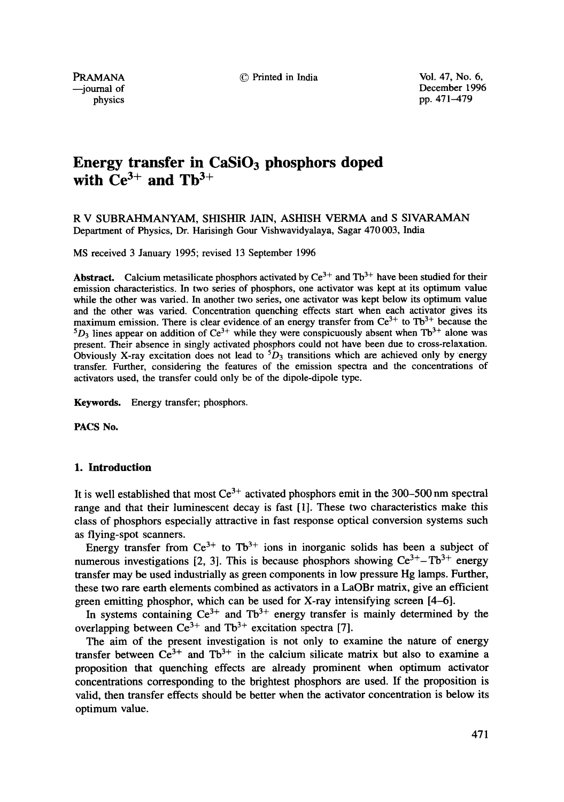**PRAMANA**  $\odot$  Printed in India Vol. 47, No. 6,

--journal of December 1996 physics pp. 471-479

# Energy transfer in CaSiO<sub>3</sub> phosphors doped with  $Ce^{3+}$  and  $Th^{3+}$

R V SUBRAHMANYAM, SHISHIR JAIN, ASHISH VERMA and S SIVARAMAN Department of Physics, Dr. Harisingh Gour Vishwavidyalaya, Sagar 470 003, India

MS received 3 January 1995; revised 13 September 1996

**Abstract.** Calcium metasilicate phosphors activated by  $Ce^{3+}$  and  $Tb^{3+}$  have been studied for their emission characteristics. In two series of phosphors, one activator was kept at its optimum value while the other was varied. In another two series, one activator was kept below its optimum value and the other was varied. Concentration quenching effects start when each activator gives its maximum emission. There is clear evidence of an energy transfer from  $Ce^{3+}$  to Tb<sup>3+</sup> because the  $5D_3$  lines appear on addition of Ce<sup>3+</sup> while they were conspicuously absent when Tb<sup>3+</sup> alone was present. Their absence in singly activated phosphors could not have been due to cross-relaxation. Obviously X-ray excitation does not lead to  ${}^5D_3$  transitions which are achieved only by energy transfer. Further, considering the features of the emission spectra and the concentrations of activators used, the transfer could only be of the dipole-dipole type.

Keywords. Energy transfer; phosphors.

PACS No.

#### **1. Introduction**

It is well established that most  $Ce^{3+}$  activated phosphors emit in the 300–500 nm spectral range and that their luminescent decay is fast [1]. These two characteristics make this class of phosphors especially attractive in fast response optical conversion systems such as flying-spot scanners.

Energy transfer from  $Ce^{3+}$  to Tb<sup>3+</sup> ions in inorganic solids has been a subject of numerous investigations [2, 3]. This is because phosphors showing  $Ce^{3+}-Tb^{3+}$  energy transfer may be used industrially as green components in low pressure Hg lamps. Further, these two rare earth elements combined as activators in a LaOBr matrix, give an efficient green emitting phosphor, which can be used for X-ray intensifying screen [4-6].

In systems containing  $Ce^{3+}$  and  $Tb^{3+}$  energy transfer is mainly determined by the overlapping between  $Ce^{3+}$  and Tb<sup>3+</sup> excitation spectra [7].

The aim of the present investigation is not only to examine the nature of energy transfer between  $Ce^{3+}$  and  $Tb^{3+}$  in the calcium silicate matrix but also to examine a proposition that quenching effects are already prominent when optimum activator concentrations corresponding to the brightest phosphors are used. If the proposition is valid, then transfer effects should be better when the activator concentration is below its optimum value.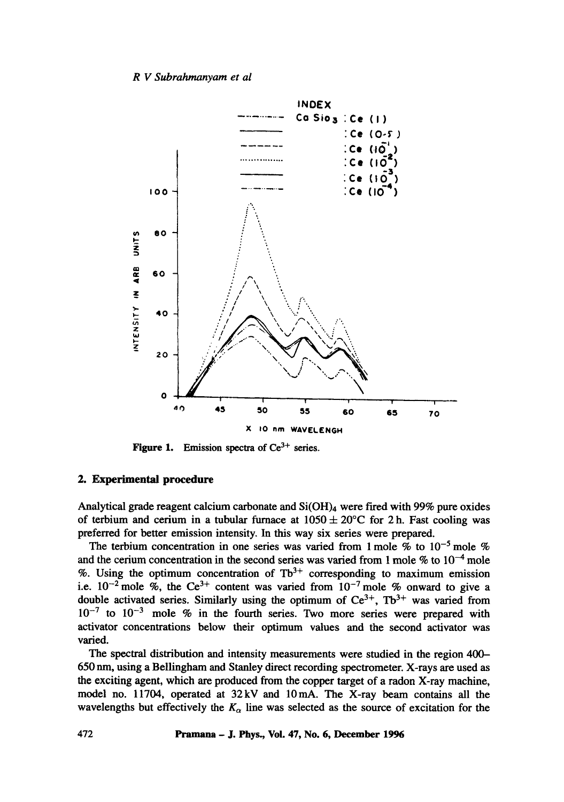## *R V Subrahmanyam et al*



**Figure 1.** Emission spectra of Ce<sup>3+</sup> series.

## **2. Experimental procedure**

**Analytical grade reagent calcium carbonate and Si(OH)4 were fired with 99% pure oxides**  of terbium and cerium in a tubular furnace at  $1050 \pm 20^{\circ}$ C for 2 h. Fast cooling was **preferred for better emission intensity. In this way six series were prepared.** 

The terbium concentration in one series was varied from 1 mole  $\%$  to 10<sup>-5</sup> mole  $\%$ and the cerium concentration in the second series was varied from 1 mole  $\%$  to  $10^{-4}$  mole %. Using the optimum concentration of  $Tb^{3+}$  corresponding to maximum emission i.e.  $10^{-2}$  mole %, the Ce<sup>3+</sup> content was varied from  $10^{-7}$  mole % onward to give a double activated series. Similarly using the optimum of  $Ce^{3+}$ ,  $Tb^{3+}$  was varied from  $10^{-7}$  to  $10^{-3}$  mole % in the fourth series. Two more series were prepared with **activator concentrations below their optimum values and the second activator was varied.** 

**The spectral distribution and intensity measurements were studied in the region 400- 650 urn, using a Bellingham and Stanley direct recording spectrometer. X-rays are used as the exciting agent, which are produced from the copper target of a radon X-ray machine, model no. 11704, operated at 32kV and 10mA. The X-ray beam contains all the**  wavelengths but effectively the  $K_{\alpha}$  line was selected as the source of excitation for the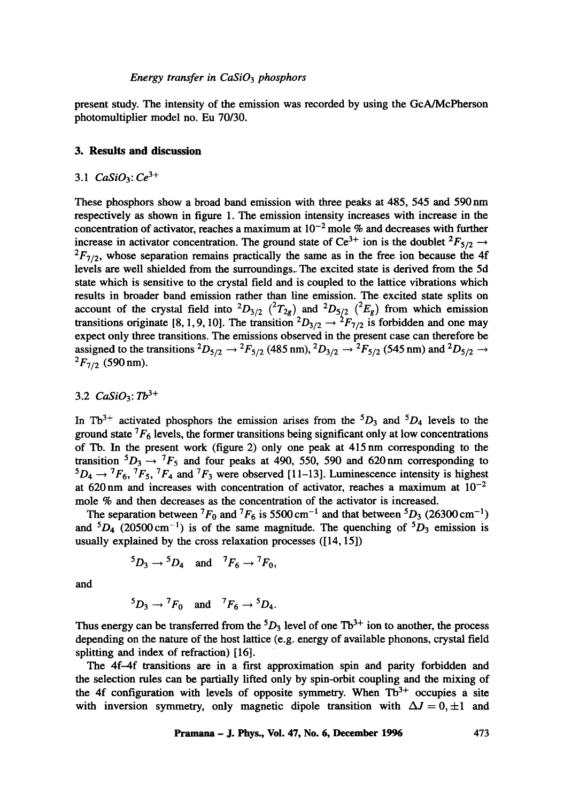## *Energy transfer in CaSi03 phosphors*

present study. The intensity of the emission was recorded by using the GcA/McPherson photomultiplier model no. Eu 70/30.

# **3. Results and discussion**

# 3.1  $CaSiO<sub>3</sub>: Ce<sup>3+</sup>$

These phosphors show a broad band emission with three peaks at 485, 545 and 590 nm respectively as shown in figure 1. The emission intensity increases with increase in the concentration of activator, reaches a maximum at  $10^{-2}$  mole % and decreases with further increase in activator concentration. The ground state of Ce<sup>3+</sup> ion is the doublet <sup>2</sup>F<sub>5/2</sub>  $\rightarrow$  ${}^{2}F_{7/2}$ , whose separation remains practically the same as in the free ion because the 4f levels are well shielded from the surroundings. The excited state is derived from the 5d state which is sensitive to the crystal field and is coupled to the lattice vibrations which results in broader band emission rather than line emission. The excited state splits on account of the crystal field into  ${}^{2}D_{3/2}$  ( ${}^{2}T_{2g}$ ) and  ${}^{2}D_{5/2}$  ( ${}^{2}E_{g}$ ) from which emission transitions originate [8, 1, 9, 10]. The transition  ${}^2D_{3/2} \rightarrow {}^2F_{7/2}$  is forbidden and one may expect only three transitions. The emissions observed in the present case can therefore be assigned to the transitions <sup>2</sup> $D_{5/2} \rightarrow {}^2F_{5/2}$  (485 nm), <sup>2</sup> $D_{3/2} \rightarrow {}^2F_{5/2}$  (545 nm) and <sup>2</sup> $D_{5/2} \rightarrow$  ${}^{2}F_{7/2}$  (590 nm).

# 3.2  $CaSiO_3$ :  $Tb^{3+}$

In Tb<sup>3+</sup> activated phosphors the emission arises from the  ${}^5D_3$  and  ${}^5D_4$  levels to the ground state  ${}^{7}F_6$  levels, the former transitions being significant only at low concentrations of Tb. In the present work (figure 2) only one peak at 415 nm corresponding to the transition  ${}^5D_3 \rightarrow {}^7F_5$  and four peaks at 490, 550, 590 and 620 nm corresponding to  ${}^5D_4 \rightarrow {}^7F_6$ ,  ${}^7F_5$ ,  ${}^7F_4$  and  ${}^7F_3$  were observed [11-13]. Luminescence intensity is highest at 620 nm and increases with concentration of activator, reaches a maximum at  $10^{-2}$ mole % and then decreases as the concentration of the activator is increased.

The separation between  ${}^{7}F_0$  and  ${}^{7}F_6$  is 5500 cm<sup>-1</sup> and that between  ${}^{5}D_3$  (26300 cm<sup>-1</sup>) and  ${}^5D_4$  (20500 cm<sup>-1</sup>) is of the same magnitude. The quenching of  ${}^5D_3$  emission is usually explained by the cross relaxation processes ([14, 15])

$$
{}^5D_3 \rightarrow {}^5D_4
$$
 and  ${}^7F_6 \rightarrow {}^7F_0$ ,

and

$$
{}^5D_3 \rightarrow {}^7F_0
$$
 and  ${}^7F_6 \rightarrow {}^5D_4$ .

Thus energy can be transferred from the  ${}^5D_3$  level of one Tb<sup>3+</sup> ion to another, the process depending on the nature of the host lattice (e.g. energy of available phonons, crystal field splitting and index of refraction) [16].

The 4f-4f transitions are in a first approximation spin and parity forbidden and the selection rules can be partially lifted only by spin-orbit coupling and the mixing of the 4f configuration with levels of opposite symmetry. When  $Tb<sup>3+</sup>$  occupies a site with inversion symmetry, only magnetic dipole transition with  $\Delta J = 0, \pm 1$  and

**Pramana - J. Phys., Vol. 47, No. 6, December 1996 473**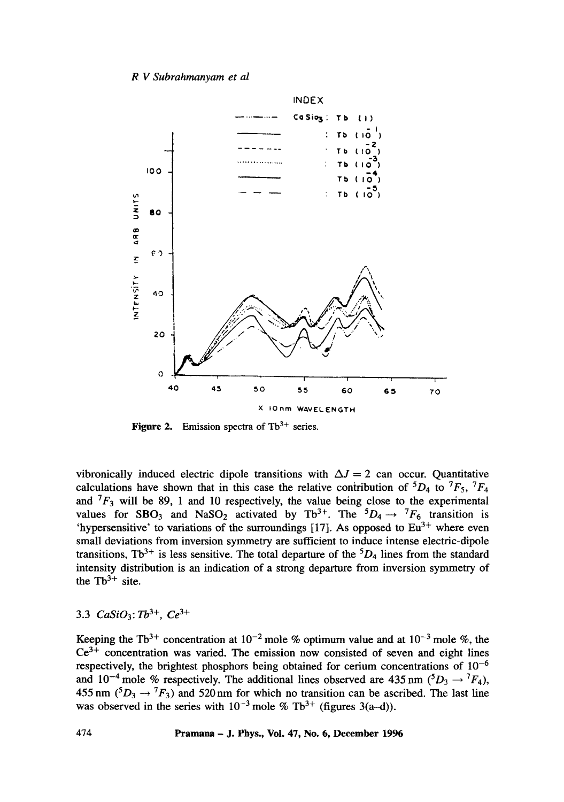*R V Subrahmanyam et al* 



**Figure 2.** Emission spectra of  $Tb^{3+}$  series.

vibronically induced electric dipole transitions with  $\Delta J = 2$  can occur. Quantitative calculations have shown that in this case the relative contribution of  ${}^5D_4$  to  ${}^7F_5$ ,  ${}^7F_4$ and  ${}^{7}F_3$  will be 89, 1 and 10 respectively, the value being close to the experimental values for SBO<sub>3</sub> and NaSO<sub>2</sub> activated by Tb<sup>3+</sup>. The  $5D_4 \rightarrow {}^7F_6$  transition is 'hypersensitive' to variations of the surroundings [17]. As opposed to  $Eu^{3+}$  where even small deviations from inversion symmetry are sufficient to induce intense electric-dipole transitions, Tb<sup>3+</sup> is less sensitive. The total departure of the  ${}^{5}D_4$  lines from the standard intensity distribution is an indication of a strong departure from inversion symmetry of the  $Tb^{3+}$  site.

# 3.3 *CaSiO*<sub>3</sub>:  $Tb^{3+}$ ,  $Ce^{3+}$

Keeping the Tb<sup>3+</sup> concentration at  $10^{-2}$  mole % optimum value and at  $10^{-3}$  mole %, the  $Ce<sup>3+</sup>$  concentration was varied. The emission now consisted of seven and eight lines respectively, the brightest phosphors being obtained for cerium concentrations of  $10^{-6}$ and 10<sup>-4</sup> mole % respectively. The additional lines observed are 435 nm ( ${}^5D_3 \rightarrow {}^7F_4$ ), 455 nm  $({}^5D_3 \rightarrow {}^7F_3)$  and 520 nm for which no transition can be ascribed. The last line was observed in the series with  $10^{-3}$  mole % Tb<sup>3+</sup> (figures 3(a-d)).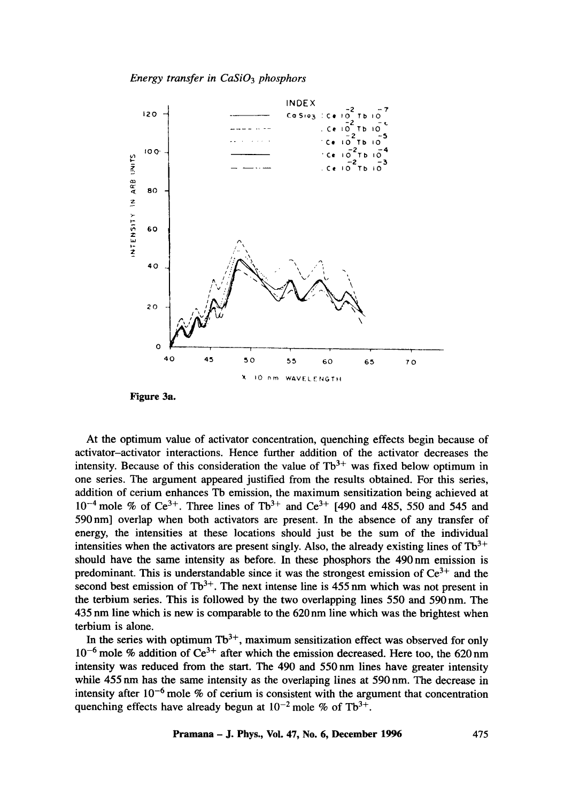*Energy transfer in CaSi03 phosphors* 



**Figure 3a.** 

**At the optimum value of activator concentration, quenching effects begin because of activator-activator interactions. Hence further addition of the activator decreases the**  intensity. Because of this consideration the value of  $Tb<sup>3+</sup>$  was fixed below optimum in **one series. The argument appeared justified from the results obtained. For this series, addition of cerium enhances Tb emission, the maximum sensitization being achieved at**   $10^{-4}$  mole % of Ce<sup>3+</sup>. Three lines of Tb<sup>3+</sup> and Ce<sup>3+</sup> [490 and 485, 550 and 545 and **590nm] overlap when both activators are present. In the absence of any transfer of energy, the intensities at these locations should just be the sum of the individual**  intensities when the activators are present singly. Also, the already existing lines of  $Tb^{3+}$ **should have the same intensity as before. In these phosphors the 490 nm emission is**  predominant. This is understandable since it was the strongest emission of  $Ce<sup>3+</sup>$  and the second best emission of  $Tb^{3+}$ . The next intense line is 455 nm which was not present in **the terbium series. This is followed by the two overlapping lines 550 and 590nm. The 435 nm line which is new is comparable to the 620 nm line which was the brightest when terbium is alone.** 

In the series with optimum  $Tb^{3+}$ , maximum sensitization effect was observed for only  $10^{-6}$  mole % addition of Ce<sup>3+</sup> after which the emission decreased. Here too, the 620 nm **intensity was reduced from the start. The 490 and 550nm lines have greater intensity while 455 nm has the same intensity as the overlaping lines at 590 nm. The decrease in intensity after 10 -6 mole % of cerium is consistent with the argument that concentration**  quenching effects have already begun at  $10^{-2}$  mole % of Tb<sup>3+</sup>.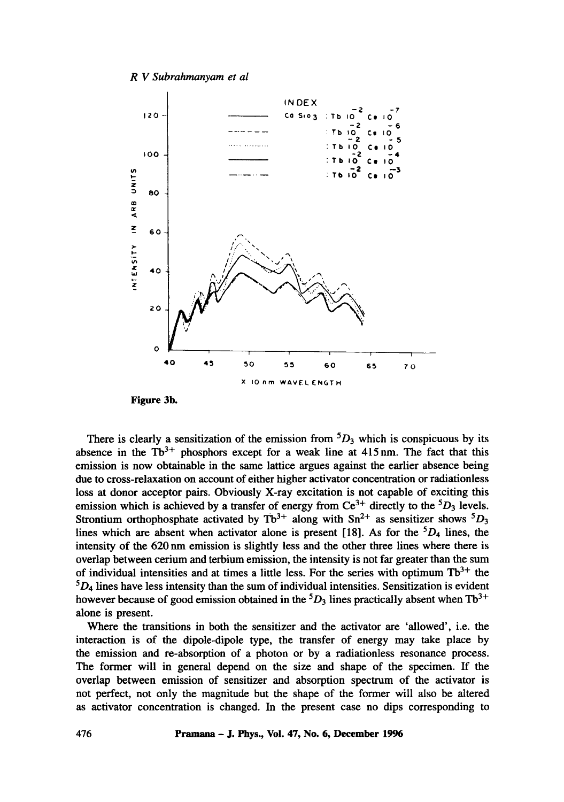#### *R V Subrahmanyam et al*



There is clearly a sensitization of the emission from  ${}^5D_3$  which is conspicuous by its absence in the  $Tb^{3+}$  phosphors except for a weak line at 415 nm. The fact that this emission is now obtainable in the same lattice argues against the earlier absence being due to cross-relaxation on account of either higher activator concentration or radiationless loss at donor acceptor pairs. Obviously X-ray excitation is not capable of exciting this emission which is achieved by a transfer of energy from  $Ce^{3+}$  directly to the  ${}^{5}D_3$  levels. Strontium orthophosphate activated by  $Tb^{3+}$  along with Sn<sup>2+</sup> as sensitizer shows <sup>5</sup>D<sub>3</sub> lines which are absent when activator alone is present [18]. As for the  ${}^{5}D_4$  lines, the intensity of the 620 nm emission is slightly less and the other three lines where there is overlap between cerium and terbium emission, the intensity is not far greater than the sum of individual intensities and at times a little less. For the series with optimum  $Tb^{3+}$  the  ${}^5D_4$  lines have less intensity than the sum of individual intensities. Sensitization is evident however because of good emission obtained in the  ${}^5D_3$  lines practically absent when Tb<sup>3+</sup> alone is present.

Where the transitions in both the sensitizer and the activator are 'allowed', i.e. the interaction is of the dipole-dipole type, the transfer of energy may take place by the emission and re-absorption of a photon or by a radiationless resonance process. The former will in general depend on the size and shape of the specimen. If the overlap between emission of sensitizer and absorption spectrum of the activator is not perfect, not only the magnitude but the shape of the former will also be altered as activator concentration is changed. In the present case no dips corresponding to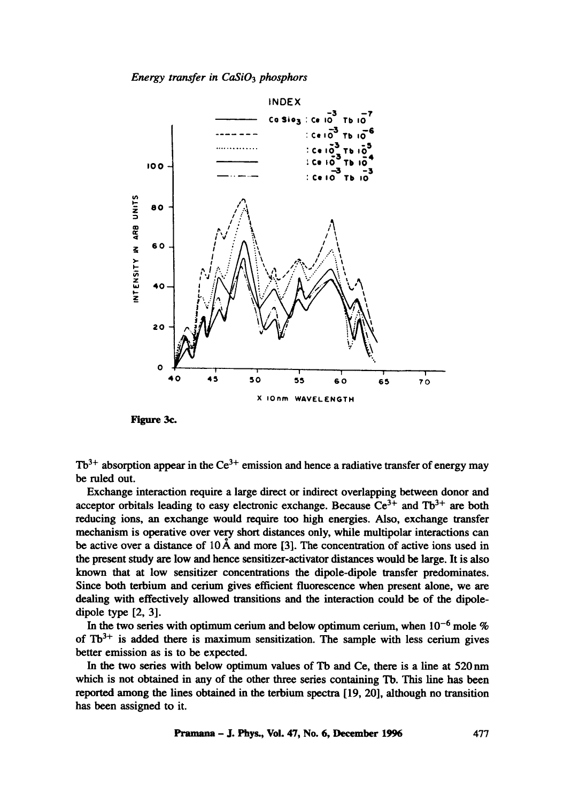*Energy transfer in CaSi03 phosphors* 



Pigure 3e.

 $Tb^{3+}$  absorption appear in the Ce<sup>3+</sup> emission and hence a radiative transfer of energy may be ruled out.

Exchange interaction require a large direct or indirect overlapping between donor and acceptor orbitals leading to easy electronic exchange. Because  $Ce^{3+}$  and Tb<sup>3+</sup> are both reducing ions, an exchange would require too high energies. Also, exchange transfer mechanism is operative over very short distances only, while multipolar interactions can be active over a distance of  $10 \text{ Å}$  and more [3]. The concentration of active ions used in the present study are low and hence sensitizer-activator distances would be large. It is also known that at low sensitizer concentrations the dipole-dipole transfer predominates. Since both terbium and cerium gives efficient fluorescence when present alone, we are dealing with effectively allowed transitions and the interaction could be of the dipoledipole type [2, 3].

In the two series with optimum cerium and below optimum cerium, when  $10^{-6}$  mole % of  $Tb^{3+}$  is added there is maximum sensitization. The sample with less cerium gives better emission as is to be expected.

In the two series with below optimum values of Tb and Ce, there is a line at 520nm which is not obtained in any of the other three series containing Tb. This line has been reported among the lines obtained in the terbium spectra [19, 20], although no transition has been assigned to it.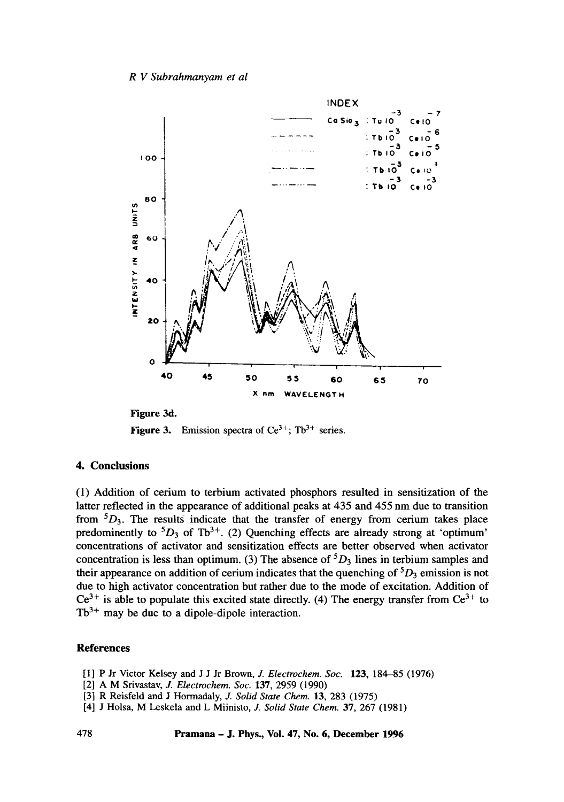## *R V Subrahmanyam et al*



Figure 3d. **Figure 3.** Emission spectra of  $Ce^{3+}$ ; Tb<sup>3+</sup> series.

## **4. Conclusions**

(1) Addition of cerium to terbium activated phosphors resulted in sensitization of the latter reflected in the appearance of additional peaks at 435 and 455 nm due to transition from  ${}^5D_3$ . The results indicate that the transfer of energy from cerium takes place predominently to  ${}^5D_3$  of Tb<sup>3+</sup>. (2) Quenching effects are already strong at 'optimum' concentrations of activator and sensitization effects are better observed when activator concentration is less than optimum. (3) The absence of  ${}^5D_3$  lines in terbium samples and their appearance on addition of cerium indicates that the quenching of  ${}^5D_3$  emission is not due to high activator concentration but rather due to the mode of excitation. Addition of  $Ce^{3+}$  is able to populate this excited state directly. (4) The energy transfer from  $Ce^{3+}$  to  $Tb^{3+}$  may be due to a dipole-dipole interaction.

## **References**

- [I] P Jr Victor Kelsey and J J Jr Brown, J. *Electrochem. Soc.* 123, 184-85 (1976)
- [2] A M Srivastav, J. *Electrochem. Soc.* 137, 2959 (1990)
- [3] R Reisfeld and J Hormadaly, J. *Solid State Chem.* 13, 283 (1975)
- [4] J Holsa, M Leskela and L Miinisto, J. *Solid State Chem.* 37, 267 (1981)